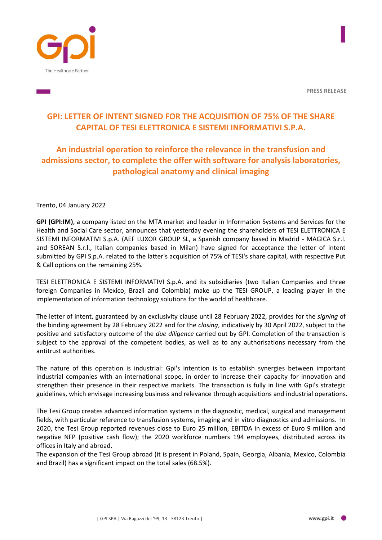



**PRESS RELEASE**

# **GPI: LETTER OF INTENT SIGNED FOR THE ACQUISITION OF 75% OF THE SHARE CAPITAL OF TESI ELETTRONICA E SISTEMI INFORMATIVI S.P.A.**

## **An industrial operation to reinforce the relevance in the transfusion and admissions sector, to complete the offer with software for analysis laboratories, pathological anatomy and clinical imaging**

Trento, 04 January 2022

**GPI (GPI:IM)**, a company listed on the MTA market and leader in Information Systems and Services for the Health and Social Care sector, announces that yesterday evening the shareholders of TESI ELETTRONICA E SISTEMI INFORMATIVI S.p.A. (AEF LUXOR GROUP SL, a Spanish company based in Madrid - MAGICA S.r.l. and SOREAN S.r.l., Italian companies based in Milan) have signed for acceptance the letter of intent submitted by GPI S.p.A. related to the latter's acquisition of 75% of TESI's share capital, with respective Put & Call options on the remaining 25%.

TESI ELETTRONICA E SISTEMI INFORMATIVI S.p.A. and its subsidiaries (two Italian Companies and three foreign Companies in Mexico, Brazil and Colombia) make up the TESI GROUP, a leading player in the implementation of information technology solutions for the world of healthcare.

The letter of intent, guaranteed by an exclusivity clause until 28 February 2022, provides for the *signing* of the binding agreement by 28 February 2022 and for the *closing*, indicatively by 30 April 2022, subject to the positive and satisfactory outcome of the *due diligence* carried out by GPI. Completion of the transaction is subject to the approval of the competent bodies, as well as to any authorisations necessary from the antitrust authorities.

The nature of this operation is industrial: Gpi's intention is to establish synergies between important industrial companies with an international scope, in order to increase their capacity for innovation and strengthen their presence in their respective markets. The transaction is fully in line with Gpi's strategic guidelines, which envisage increasing business and relevance through acquisitions and industrial operations.

The Tesi Group creates advanced information systems in the diagnostic, medical, surgical and management fields, with particular reference to transfusion systems, imaging and in vitro diagnostics and admissions. In 2020, the Tesi Group reported revenues close to Euro 25 million, EBITDA in excess of Euro 9 million and negative NFP (positive cash flow); the 2020 workforce numbers 194 employees, distributed across its offices in Italy and abroad.

The expansion of the Tesi Group abroad (it is present in Poland, Spain, Georgia, Albania, Mexico, Colombia and Brazil) has a significant impact on the total sales (68.5%).